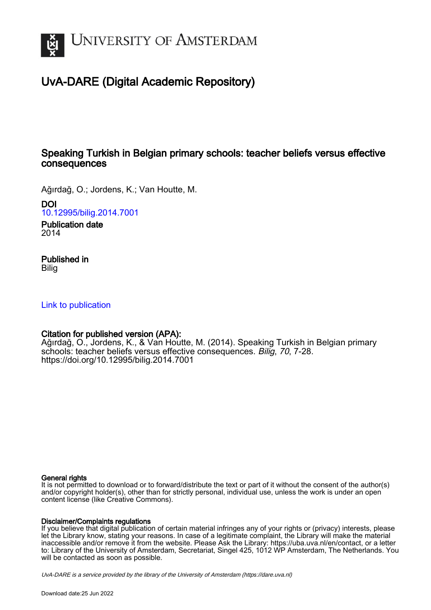

# UvA-DARE (Digital Academic Repository)

## Speaking Turkish in Belgian primary schools: teacher beliefs versus effective consequences

Ağırdağ, O.; Jordens, K.; Van Houtte, M.

DOI

[10.12995/bilig.2014.7001](https://doi.org/10.12995/bilig.2014.7001)

Publication date 2014

## Published in Bilig

## [Link to publication](https://dare.uva.nl/personal/pure/en/publications/speaking-turkish-in-belgian-primary-schools-teacher-beliefs-versus-effective-consequences(32c96cde-f918-484d-97b0-16314af2ffea).html)

## Citation for published version (APA):

Ağırdağ, O., Jordens, K., & Van Houtte, M. (2014). Speaking Turkish in Belgian primary schools: teacher beliefs versus effective consequences. Bilig, 70, 7-28. <https://doi.org/10.12995/bilig.2014.7001>

## General rights

It is not permitted to download or to forward/distribute the text or part of it without the consent of the author(s) and/or copyright holder(s), other than for strictly personal, individual use, unless the work is under an open content license (like Creative Commons).

### Disclaimer/Complaints regulations

If you believe that digital publication of certain material infringes any of your rights or (privacy) interests, please let the Library know, stating your reasons. In case of a legitimate complaint, the Library will make the material inaccessible and/or remove it from the website. Please Ask the Library: https://uba.uva.nl/en/contact, or a letter to: Library of the University of Amsterdam, Secretariat, Singel 425, 1012 WP Amsterdam, The Netherlands. You will be contacted as soon as possible.

UvA-DARE is a service provided by the library of the University of Amsterdam (http*s*://dare.uva.nl)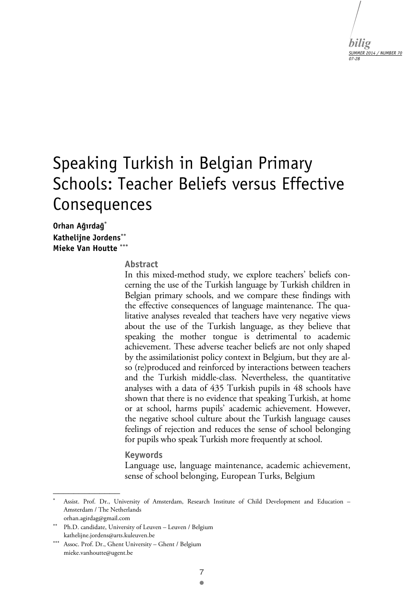

# Speaking Turkish in Belgian Primary Schools: Teacher Beliefs versus Effective Consequences

**Orhan Ağırdağ Kathelijne Jordens Mieke Van Houtte** 

#### **Abstract**

In this mixed-method study, we explore teachers' beliefs concerning the use of the Turkish language by Turkish children in Belgian primary schools, and we compare these findings with the effective consequences of language maintenance. The qualitative analyses revealed that teachers have very negative views about the use of the Turkish language, as they believe that speaking the mother tongue is detrimental to academic achievement. These adverse teacher beliefs are not only shaped by the assimilationist policy context in Belgium, but they are also (re)produced and reinforced by interactions between teachers and the Turkish middle-class. Nevertheless, the quantitative analyses with a data of 435 Turkish pupils in 48 schools have shown that there is no evidence that speaking Turkish, at home or at school, harms pupils' academic achievement. However, the negative school culture about the Turkish language causes feelings of rejection and reduces the sense of school belonging for pupils who speak Turkish more frequently at school.

#### **Keywords**

Language use, language maintenance, academic achievement, sense of school belonging, European Turks, Belgium

<sup>.</sup>  Assist. Prof. Dr., University of Amsterdam, Research Institute of Child Development and Education – Amsterdam / The Netherlands orhan.agirdag@gmail.com

Ph.D. candidate, University of Leuven – Leuven / Belgium kathelijne.jordens@arts.kuleuven.be

Assoc. Prof. Dr., Ghent University – Ghent / Belgium mieke.vanhoutte@ugent.be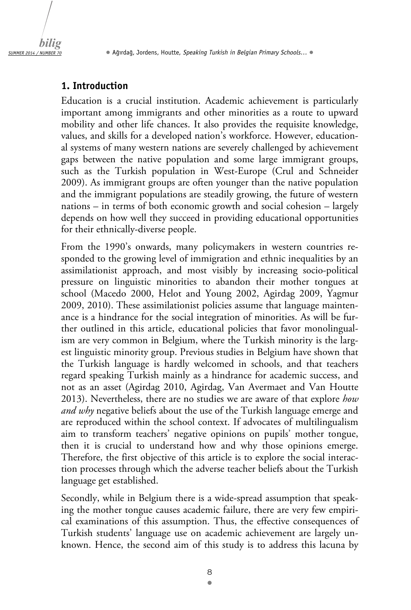

## **1. Introduction**

Education is a crucial institution. Academic achievement is particularly important among immigrants and other minorities as a route to upward mobility and other life chances. It also provides the requisite knowledge, values, and skills for a developed nation's workforce. However, educational systems of many western nations are severely challenged by achievement gaps between the native population and some large immigrant groups, such as the Turkish population in West-Europe (Crul and Schneider 2009). As immigrant groups are often younger than the native population and the immigrant populations are steadily growing, the future of western nations – in terms of both economic growth and social cohesion – largely depends on how well they succeed in providing educational opportunities for their ethnically-diverse people.

From the 1990's onwards, many policymakers in western countries responded to the growing level of immigration and ethnic inequalities by an assimilationist approach, and most visibly by increasing socio-political pressure on linguistic minorities to abandon their mother tongues at school (Macedo 2000, Helot and Young 2002, Agirdag 2009, Yagmur 2009, 2010). These assimilationist policies assume that language maintenance is a hindrance for the social integration of minorities. As will be further outlined in this article, educational policies that favor monolingualism are very common in Belgium, where the Turkish minority is the largest linguistic minority group. Previous studies in Belgium have shown that the Turkish language is hardly welcomed in schools, and that teachers regard speaking Turkish mainly as a hindrance for academic success, and not as an asset (Agirdag 2010, Agirdag, Van Avermaet and Van Houtte 2013). Nevertheless, there are no studies we are aware of that explore *how and why* negative beliefs about the use of the Turkish language emerge and are reproduced within the school context. If advocates of multilingualism aim to transform teachers' negative opinions on pupils' mother tongue, then it is crucial to understand how and why those opinions emerge. Therefore, the first objective of this article is to explore the social interaction processes through which the adverse teacher beliefs about the Turkish language get established.

Secondly, while in Belgium there is a wide-spread assumption that speaking the mother tongue causes academic failure, there are very few empirical examinations of this assumption. Thus, the effective consequences of Turkish students' language use on academic achievement are largely unknown. Hence, the second aim of this study is to address this lacuna by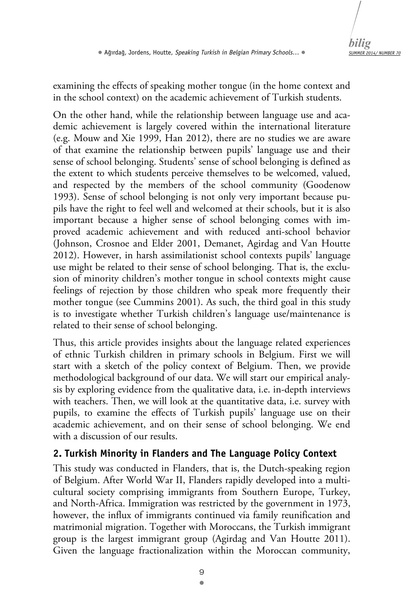

examining the effects of speaking mother tongue (in the home context and in the school context) on the academic achievement of Turkish students.

On the other hand, while the relationship between language use and academic achievement is largely covered within the international literature (e.g. Mouw and Xie 1999, Han 2012), there are no studies we are aware of that examine the relationship between pupils' language use and their sense of school belonging. Students' sense of school belonging is defined as the extent to which students perceive themselves to be welcomed, valued, and respected by the members of the school community (Goodenow 1993). Sense of school belonging is not only very important because pupils have the right to feel well and welcomed at their schools, but it is also important because a higher sense of school belonging comes with improved academic achievement and with reduced anti-school behavior (Johnson, Crosnoe and Elder 2001, Demanet, Agirdag and Van Houtte 2012). However, in harsh assimilationist school contexts pupils' language use might be related to their sense of school belonging. That is, the exclusion of minority children's mother tongue in school contexts might cause feelings of rejection by those children who speak more frequently their mother tongue (see Cummins 2001). As such, the third goal in this study is to investigate whether Turkish children's language use/maintenance is related to their sense of school belonging.

Thus, this article provides insights about the language related experiences of ethnic Turkish children in primary schools in Belgium. First we will start with a sketch of the policy context of Belgium. Then, we provide methodological background of our data. We will start our empirical analysis by exploring evidence from the qualitative data, i.e. in-depth interviews with teachers. Then, we will look at the quantitative data, i.e. survey with pupils, to examine the effects of Turkish pupils' language use on their academic achievement, and on their sense of school belonging. We end with a discussion of our results.

## **2. Turkish Minority in Flanders and The Language Policy Context**

This study was conducted in Flanders, that is, the Dutch-speaking region of Belgium. After World War II, Flanders rapidly developed into a multicultural society comprising immigrants from Southern Europe, Turkey, and North-Africa. Immigration was restricted by the government in 1973, however, the influx of immigrants continued via family reunification and matrimonial migration. Together with Moroccans, the Turkish immigrant group is the largest immigrant group (Agirdag and Van Houtte 2011). Given the language fractionalization within the Moroccan community,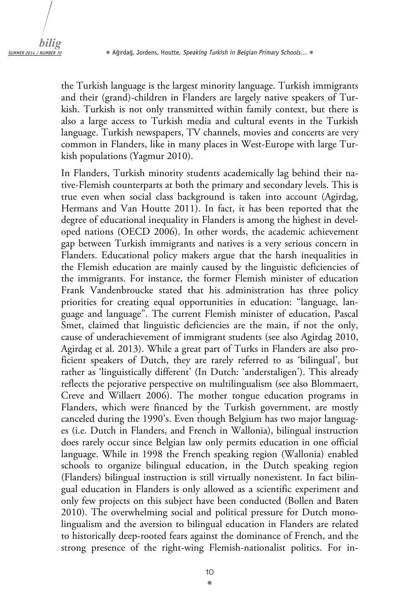the Turkish language is the largest minority language. Turkish immigrants and their (grand)-children in Flanders are largely native speakers of Turkish. Turkish is not only transmitted within family context, but there is also a large access to Turkish media and cultural events in the Turkish language. Turkish newspapers, TV channels, movies and concerts are very common in Flanders, like in many places in West-Europe with large Turkish populations (Yagmur 2010).

In Flanders, Turkish minority students academically lag behind their native-Flemish counterparts at both the primary and secondary levels. This is true even when social class background is taken into account (Agirdag, Hermans and Van Houtte 2011). In fact, it has been reported that the degree of educational inequality in Flanders is among the highest in developed nations (OECD 2006). In other words, the academic achievement gap between Turkish immigrants and natives is a very serious concern in Flanders. Educational policy makers argue that the harsh inequalities in the Flemish education are mainly caused by the linguistic deficiencies of the immigrants. For instance, the former Flemish minister of education Frank Vandenbroucke stated that his administration has three policy priorities for creating equal opportunities in education: "language, language and language". The current Flemish minister of education, Pascal Smet, claimed that linguistic deficiencies are the main, if not the only, cause of underachievement of immigrant students (see also Agirdag 2010, Agirdag et al. 2013). While a great part of Turks in Flanders are also proficient speakers of Dutch, they are rarely referred to as 'bilingual', but rather as 'linguistically different' (In Dutch: 'anderstaligen'). This already reflects the pejorative perspective on multilingualism (see also Blommaert, Creve and Willaert 2006). The mother tongue education programs in Flanders, which were financed by the Turkish government, are mostly canceled during the 1990's. Even though Belgium has two major languages (i.e. Dutch in Flanders, and French in Wallonia), bilingual instruction does rarely occur since Belgian law only permits education in one official language. While in 1998 the French speaking region (Wallonia) enabled schools to organize bilingual education, in the Dutch speaking region (Flanders) bilingual instruction is still virtually nonexistent. In fact bilingual education in Flanders is only allowed as a scientific experiment and only few projects on this subject have been conducted (Bollen and Baten 2010). The overwhelming social and political pressure for Dutch monolingualism and the aversion to bilingual education in Flanders are related to historically deep-rooted fears against the dominance of French, and the strong presence of the right-wing Flemish-nationalist politics. For in-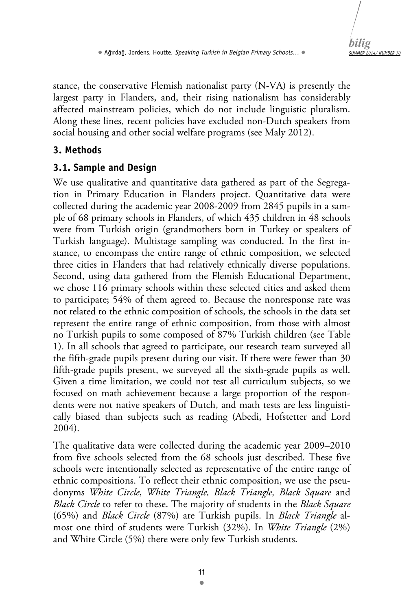

stance, the conservative Flemish nationalist party (N-VA) is presently the largest party in Flanders, and, their rising nationalism has considerably affected mainstream policies, which do not include linguistic pluralism. Along these lines, recent policies have excluded non-Dutch speakers from social housing and other social welfare programs (see Maly 2012).

## **3. Methods**

## **3.1. Sample and Design**

We use qualitative and quantitative data gathered as part of the Segregation in Primary Education in Flanders project. Quantitative data were collected during the academic year 2008-2009 from 2845 pupils in a sample of 68 primary schools in Flanders, of which 435 children in 48 schools were from Turkish origin (grandmothers born in Turkey or speakers of Turkish language). Multistage sampling was conducted. In the first instance, to encompass the entire range of ethnic composition, we selected three cities in Flanders that had relatively ethnically diverse populations. Second, using data gathered from the Flemish Educational Department, we chose 116 primary schools within these selected cities and asked them to participate; 54% of them agreed to. Because the nonresponse rate was not related to the ethnic composition of schools, the schools in the data set represent the entire range of ethnic composition, from those with almost no Turkish pupils to some composed of 87% Turkish children (see Table 1). In all schools that agreed to participate, our research team surveyed all the fifth-grade pupils present during our visit. If there were fewer than 30 fifth-grade pupils present, we surveyed all the sixth-grade pupils as well. Given a time limitation, we could not test all curriculum subjects, so we focused on math achievement because a large proportion of the respondents were not native speakers of Dutch, and math tests are less linguistically biased than subjects such as reading (Abedi, Hofstetter and Lord 2004).

The qualitative data were collected during the academic year 2009–2010 from five schools selected from the 68 schools just described. These five schools were intentionally selected as representative of the entire range of ethnic compositions. To reflect their ethnic composition, we use the pseudonyms *White Circle*, *White Triangle, Black Triangle, Black Square* and *Black Circle* to refer to these. The majority of students in the *Black Square* (65%) and *Black Circle* (87%) are Turkish pupils. In *Black Triangle* almost one third of students were Turkish (32%). In *White Triangle* (2%) and White Circle (5%) there were only few Turkish students.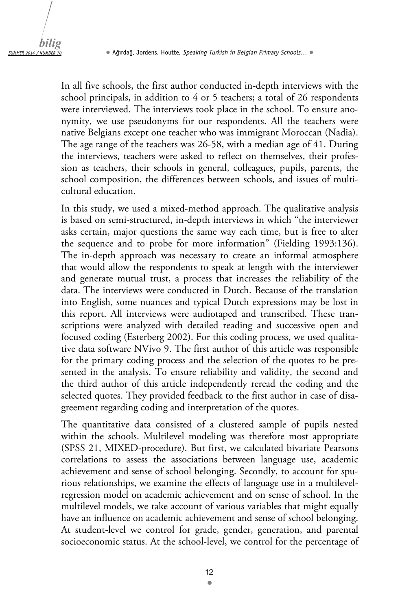In all five schools, the first author conducted in-depth interviews with the school principals, in addition to 4 or 5 teachers; a total of 26 respondents were interviewed. The interviews took place in the school. To ensure anonymity, we use pseudonyms for our respondents. All the teachers were native Belgians except one teacher who was immigrant Moroccan (Nadia). The age range of the teachers was 26-58, with a median age of 41. During the interviews, teachers were asked to reflect on themselves, their profession as teachers, their schools in general, colleagues, pupils, parents, the school composition, the differences between schools, and issues of multicultural education.

In this study, we used a mixed-method approach. The qualitative analysis is based on semi-structured, in-depth interviews in which "the interviewer asks certain, major questions the same way each time, but is free to alter the sequence and to probe for more information" (Fielding 1993:136). The in-depth approach was necessary to create an informal atmosphere that would allow the respondents to speak at length with the interviewer and generate mutual trust, a process that increases the reliability of the data. The interviews were conducted in Dutch. Because of the translation into English, some nuances and typical Dutch expressions may be lost in this report. All interviews were audiotaped and transcribed. These transcriptions were analyzed with detailed reading and successive open and focused coding (Esterberg 2002). For this coding process, we used qualitative data software NVivo 9. The first author of this article was responsible for the primary coding process and the selection of the quotes to be presented in the analysis. To ensure reliability and validity, the second and the third author of this article independently reread the coding and the selected quotes. They provided feedback to the first author in case of disagreement regarding coding and interpretation of the quotes.

The quantitative data consisted of a clustered sample of pupils nested within the schools. Multilevel modeling was therefore most appropriate (SPSS 21, MIXED-procedure). But first, we calculated bivariate Pearsons correlations to assess the associations between language use, academic achievement and sense of school belonging. Secondly, to account for spurious relationships, we examine the effects of language use in a multilevelregression model on academic achievement and on sense of school. In the multilevel models, we take account of various variables that might equally have an influence on academic achievement and sense of school belonging. At student-level we control for grade, gender, generation, and parental socioeconomic status. At the school-level, we control for the percentage of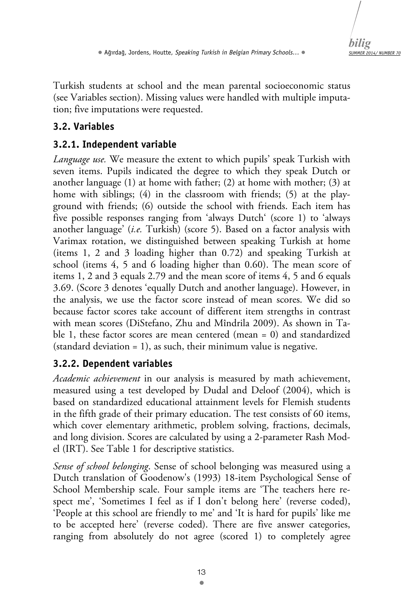*SUMMER 2014/ NUMBER 70 bilig* 

Turkish students at school and the mean parental socioeconomic status (see Variables section). Missing values were handled with multiple imputation; five imputations were requested.

## **3.2. Variables**

## **3.2.1. Independent variable**

*Language use.* We measure the extent to which pupils' speak Turkish with seven items. Pupils indicated the degree to which they speak Dutch or another language (1) at home with father; (2) at home with mother; (3) at home with siblings; (4) in the classroom with friends; (5) at the playground with friends; (6) outside the school with friends. Each item has five possible responses ranging from 'always Dutch' (score 1) to 'always another language' (*i.e.* Turkish) (score 5). Based on a factor analysis with Varimax rotation, we distinguished between speaking Turkish at home (items 1, 2 and 3 loading higher than 0.72) and speaking Turkish at school (items 4, 5 and 6 loading higher than 0.60). The mean score of items 1, 2 and 3 equals 2.79 and the mean score of items 4, 5 and 6 equals 3.69. (Score 3 denotes 'equally Dutch and another language). However, in the analysis, we use the factor score instead of mean scores. We did so because factor scores take account of different item strengths in contrast with mean scores (DiStefano, Zhu and Mîndrila 2009). As shown in Table 1, these factor scores are mean centered (mean = 0) and standardized (standard deviation = 1), as such, their minimum value is negative.

## **3.2.2. Dependent variables**

*Academic achievement* in our analysis is measured by math achievement, measured using a test developed by Dudal and Deloof (2004), which is based on standardized educational attainment levels for Flemish students in the fifth grade of their primary education. The test consists of 60 items, which cover elementary arithmetic, problem solving, fractions, decimals, and long division. Scores are calculated by using a 2-parameter Rash Model (IRT). See Table 1 for descriptive statistics.

*Sense of school belonging*. Sense of school belonging was measured using a Dutch translation of Goodenow's (1993) 18-item Psychological Sense of School Membership scale. Four sample items are 'The teachers here respect me', 'Sometimes I feel as if I don't belong here' (reverse coded), 'People at this school are friendly to me' and 'It is hard for pupils' like me to be accepted here' (reverse coded). There are five answer categories, ranging from absolutely do not agree (scored 1) to completely agree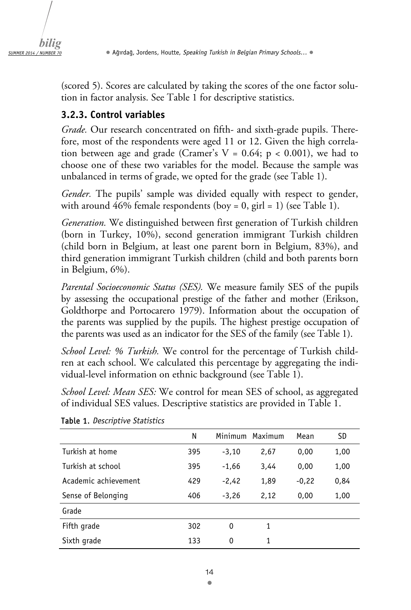

(scored 5). Scores are calculated by taking the scores of the one factor solution in factor analysis. See Table 1 for descriptive statistics.

## **3.2.3. Control variables**

*Grade.* Our research concentrated on fifth- and sixth-grade pupils. Therefore, most of the respondents were aged 11 or 12. Given the high correlation between age and grade (Cramer's  $V = 0.64$ ;  $p < 0.001$ ), we had to choose one of these two variables for the model. Because the sample was unbalanced in terms of grade, we opted for the grade (see Table 1).

*Gender.* The pupils' sample was divided equally with respect to gender, with around 46% female respondents (boy = 0, girl = 1) (see Table 1).

*Generation.* We distinguished between first generation of Turkish children (born in Turkey, 10%), second generation immigrant Turkish children (child born in Belgium, at least one parent born in Belgium, 83%), and third generation immigrant Turkish children (child and both parents born in Belgium, 6%).

*Parental Socioeconomic Status (SES).* We measure family SES of the pupils by assessing the occupational prestige of the father and mother (Erikson, Goldthorpe and Portocarero 1979). Information about the occupation of the parents was supplied by the pupils. The highest prestige occupation of the parents was used as an indicator for the SES of the family (see Table 1).

*School Level: % Turkish.* We control for the percentage of Turkish children at each school. We calculated this percentage by aggregating the individual-level information on ethnic background (see Table 1).

*School Level: Mean SES:* We control for mean SES of school, as aggregated of individual SES values. Descriptive statistics are provided in Table 1.

|                      | N   |         | Minimum Maximum | Mean    | SD   |
|----------------------|-----|---------|-----------------|---------|------|
| Turkish at home      | 395 | $-3,10$ | 2,67            | 0,00    | 1,00 |
| Turkish at school    | 395 | $-1,66$ | 3,44            | 0,00    | 1,00 |
| Academic achievement | 429 | $-2,42$ | 1,89            | $-0,22$ | 0,84 |
| Sense of Belonging   | 406 | $-3,26$ | 2,12            | 0,00    | 1,00 |
| Grade                |     |         |                 |         |      |
| Fifth grade          | 302 | 0       | 1               |         |      |
| Sixth grade          | 133 | 0       | 1               |         |      |

Table 1. *Descriptive Statistics*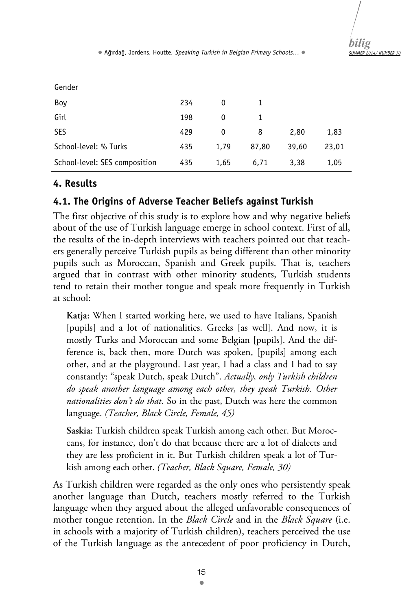*SUMMER 2014/ NUMBER 70 bilig* 

• Ağırdağ, Jordens, Houtte, *Speaking Turkish in Belgian Primary Schools…* •

| Gender                        |     |      |       |       |       |  |
|-------------------------------|-----|------|-------|-------|-------|--|
| Boy                           | 234 | 0    |       |       |       |  |
| Girl                          | 198 | 0    | 1     |       |       |  |
| <b>SES</b>                    | 429 | 0    | 8     | 2,80  | 1,83  |  |
| School-level: % Turks         | 435 | 1.79 | 87,80 | 39,60 | 23,01 |  |
| School-level: SES composition | 435 | 1,65 | 6,71  | 3,38  | 1,05  |  |

### **4. Results**

### **4.1. The Origins of Adverse Teacher Beliefs against Turkish**

The first objective of this study is to explore how and why negative beliefs about of the use of Turkish language emerge in school context. First of all, the results of the in-depth interviews with teachers pointed out that teachers generally perceive Turkish pupils as being different than other minority pupils such as Moroccan, Spanish and Greek pupils. That is, teachers argued that in contrast with other minority students, Turkish students tend to retain their mother tongue and speak more frequently in Turkish at school:

**Katja:** When I started working here, we used to have Italians, Spanish [pupils] and a lot of nationalities. Greeks [as well]. And now, it is mostly Turks and Moroccan and some Belgian [pupils]. And the difference is, back then, more Dutch was spoken, [pupils] among each other, and at the playground. Last year, I had a class and I had to say constantly: "speak Dutch, speak Dutch". *Actually, only Turkish children do speak another language among each other, they speak Turkish. Other nationalities don't do that.* So in the past, Dutch was here the common language. *(Teacher, Black Circle, Female, 45)* 

**Saskia:** Turkish children speak Turkish among each other. But Moroccans, for instance, don't do that because there are a lot of dialects and they are less proficient in it. But Turkish children speak a lot of Turkish among each other. *(Teacher, Black Square, Female, 30)* 

As Turkish children were regarded as the only ones who persistently speak another language than Dutch, teachers mostly referred to the Turkish language when they argued about the alleged unfavorable consequences of mother tongue retention. In the *Black Circle* and in the *Black Square* (i.e. in schools with a majority of Turkish children), teachers perceived the use of the Turkish language as the antecedent of poor proficiency in Dutch,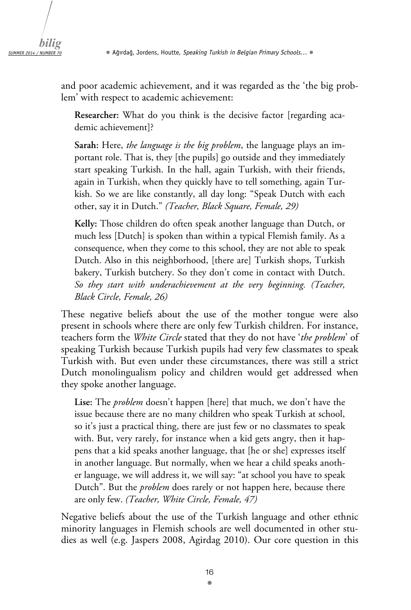and poor academic achievement, and it was regarded as the 'the big problem' with respect to academic achievement:

**Researcher:** What do you think is the decisive factor [regarding academic achievement]?

**Sarah:** Here, *the language is the big problem*, the language plays an important role. That is, they [the pupils] go outside and they immediately start speaking Turkish. In the hall, again Turkish, with their friends, again in Turkish, when they quickly have to tell something, again Turkish. So we are like constantly, all day long: "Speak Dutch with each other, say it in Dutch." *(Teacher, Black Square, Female, 29)* 

**Kelly:** Those children do often speak another language than Dutch, or much less [Dutch] is spoken than within a typical Flemish family. As a consequence, when they come to this school, they are not able to speak Dutch. Also in this neighborhood, [there are] Turkish shops, Turkish bakery, Turkish butchery. So they don't come in contact with Dutch. *So they start with underachievement at the very beginning. (Teacher, Black Circle, Female, 26)* 

These negative beliefs about the use of the mother tongue were also present in schools where there are only few Turkish children. For instance, teachers form the *White Circle* stated that they do not have '*the problem*' of speaking Turkish because Turkish pupils had very few classmates to speak Turkish with. But even under these circumstances, there was still a strict Dutch monolingualism policy and children would get addressed when they spoke another language.

**Lise:** The *problem* doesn't happen [here] that much, we don't have the issue because there are no many children who speak Turkish at school, so it's just a practical thing, there are just few or no classmates to speak with. But, very rarely, for instance when a kid gets angry, then it happens that a kid speaks another language, that [he or she] expresses itself in another language. But normally, when we hear a child speaks another language, we will address it, we will say: "at school you have to speak Dutch". But the *problem* does rarely or not happen here, because there are only few. *(Teacher, White Circle, Female, 47)* 

Negative beliefs about the use of the Turkish language and other ethnic minority languages in Flemish schools are well documented in other studies as well (e.g. Jaspers 2008, Agirdag 2010). Our core question in this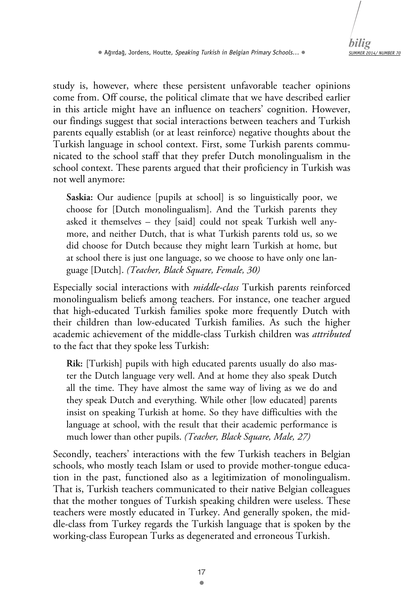study is, however, where these persistent unfavorable teacher opinions come from. Off course, the political climate that we have described earlier in this article might have an influence on teachers' cognition. However, our findings suggest that social interactions between teachers and Turkish parents equally establish (or at least reinforce) negative thoughts about the Turkish language in school context. First, some Turkish parents communicated to the school staff that they prefer Dutch monolingualism in the school context. These parents argued that their proficiency in Turkish was not well anymore:

**Saskia:** Our audience [pupils at school] is so linguistically poor, we choose for [Dutch monolingualism]. And the Turkish parents they asked it themselves – they [said] could not speak Turkish well anymore, and neither Dutch, that is what Turkish parents told us, so we did choose for Dutch because they might learn Turkish at home, but at school there is just one language, so we choose to have only one language [Dutch]. *(Teacher, Black Square, Female, 30)*

Especially social interactions with *middle-class* Turkish parents reinforced monolingualism beliefs among teachers. For instance, one teacher argued that high-educated Turkish families spoke more frequently Dutch with their children than low-educated Turkish families. As such the higher academic achievement of the middle-class Turkish children was *attributed* to the fact that they spoke less Turkish:

**Rik:** [Turkish] pupils with high educated parents usually do also master the Dutch language very well. And at home they also speak Dutch all the time. They have almost the same way of living as we do and they speak Dutch and everything. While other [low educated] parents insist on speaking Turkish at home. So they have difficulties with the language at school, with the result that their academic performance is much lower than other pupils. *(Teacher, Black Square, Male, 27)* 

Secondly, teachers' interactions with the few Turkish teachers in Belgian schools, who mostly teach Islam or used to provide mother-tongue education in the past, functioned also as a legitimization of monolingualism. That is, Turkish teachers communicated to their native Belgian colleagues that the mother tongues of Turkish speaking children were useless. These teachers were mostly educated in Turkey. And generally spoken, the middle-class from Turkey regards the Turkish language that is spoken by the working-class European Turks as degenerated and erroneous Turkish.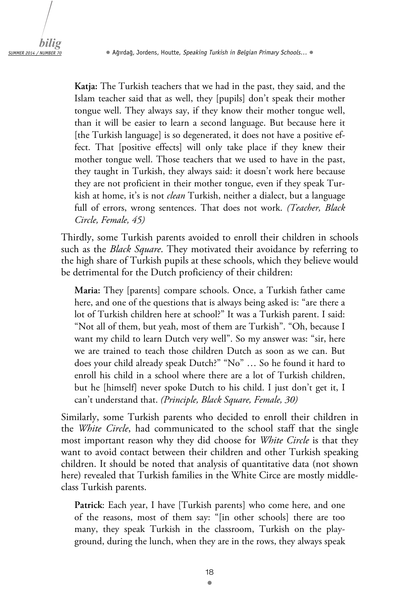**Katja:** The Turkish teachers that we had in the past, they said, and the Islam teacher said that as well, they [pupils] don't speak their mother tongue well. They always say, if they know their mother tongue well, than it will be easier to learn a second language. But because here it [the Turkish language] is so degenerated, it does not have a positive effect. That [positive effects] will only take place if they knew their mother tongue well. Those teachers that we used to have in the past, they taught in Turkish, they always said: it doesn't work here because they are not proficient in their mother tongue, even if they speak Turkish at home, it's is not *clean* Turkish, neither a dialect, but a language full of errors, wrong sentences. That does not work. *(Teacher, Black Circle, Female, 45)*

Thirdly, some Turkish parents avoided to enroll their children in schools such as the *Black Square*. They motivated their avoidance by referring to the high share of Turkish pupils at these schools, which they believe would be detrimental for the Dutch proficiency of their children:

**Maria:** They [parents] compare schools. Once, a Turkish father came here, and one of the questions that is always being asked is: "are there a lot of Turkish children here at school?" It was a Turkish parent. I said: "Not all of them, but yeah, most of them are Turkish". "Oh, because I want my child to learn Dutch very well". So my answer was: "sir, here we are trained to teach those children Dutch as soon as we can. But does your child already speak Dutch?" "No" … So he found it hard to enroll his child in a school where there are a lot of Turkish children, but he [himself] never spoke Dutch to his child. I just don't get it, I can't understand that. *(Principle, Black Square, Female, 30)*

Similarly, some Turkish parents who decided to enroll their children in the *White Circle*, had communicated to the school staff that the single most important reason why they did choose for *White Circle* is that they want to avoid contact between their children and other Turkish speaking children. It should be noted that analysis of quantitative data (not shown here) revealed that Turkish families in the White Circe are mostly middleclass Turkish parents.

**Patrick**: Each year, I have [Turkish parents] who come here, and one of the reasons, most of them say: "[in other schools] there are too many, they speak Turkish in the classroom, Turkish on the playground, during the lunch, when they are in the rows, they always speak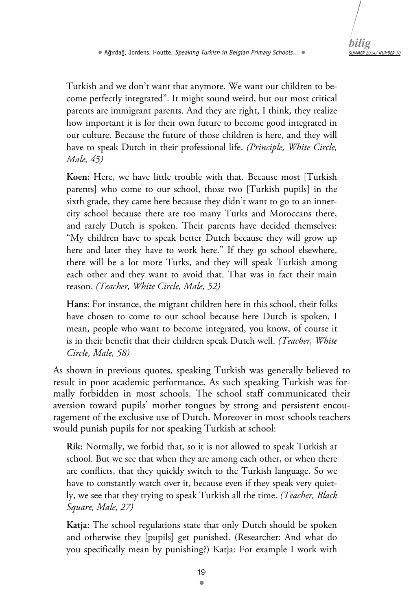

Turkish and we don't want that anymore. We want our children to become perfectly integrated". It might sound weird, but our most critical parents are immigrant parents. And they are right, I think, they realize how important it is for their own future to become good integrated in our culture. Because the future of those children is here, and they will have to speak Dutch in their professional life. *(Principle, White Circle, Male, 45)*

**Koen:** Here, we have little trouble with that. Because most [Turkish parents] who come to our school, those two [Turkish pupils] in the sixth grade, they came here because they didn't want to go to an innercity school because there are too many Turks and Moroccans there, and rarely Dutch is spoken. Their parents have decided themselves: "My children have to speak better Dutch because they will grow up here and later they have to work here." If they go school elsewhere, there will be a lot more Turks, and they will speak Turkish among each other and they want to avoid that. That was in fact their main reason. *(Teacher, White Circle, Male, 52)*

**Hans**: For instance, the migrant children here in this school, their folks have chosen to come to our school because here Dutch is spoken, I mean, people who want to become integrated, you know, of course it is in their benefit that their children speak Dutch well. *(Teacher, White Circle, Male, 58)*

As shown in previous quotes, speaking Turkish was generally believed to result in poor academic performance. As such speaking Turkish was formally forbidden in most schools. The school staff communicated their aversion toward pupils' mother tongues by strong and persistent encouragement of the exclusive use of Dutch. Moreover in most schools teachers would punish pupils for not speaking Turkish at school:

**Rik:** Normally, we forbid that, so it is not allowed to speak Turkish at school. But we see that when they are among each other, or when there are conflicts, that they quickly switch to the Turkish language. So we have to constantly watch over it, because even if they speak very quietly, we see that they trying to speak Turkish all the time. *(Teacher, Black Square, Male, 27)* 

**Katja**: The school regulations state that only Dutch should be spoken and otherwise they [pupils] get punished. (Researcher: And what do you specifically mean by punishing?) Katja: For example I work with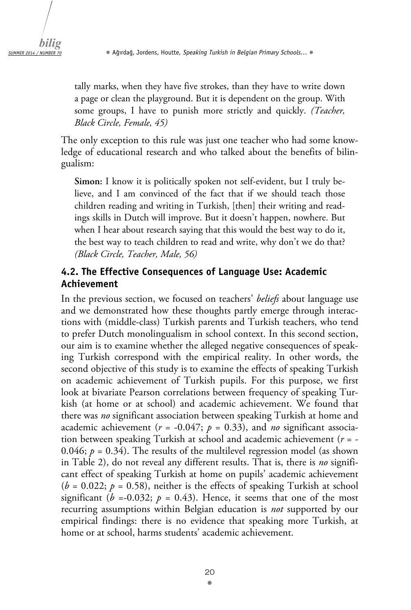tally marks, when they have five strokes, than they have to write down a page or clean the playground. But it is dependent on the group. With some groups, I have to punish more strictly and quickly. *(Teacher, Black Circle, Female, 45)* 

The only exception to this rule was just one teacher who had some knowledge of educational research and who talked about the benefits of bilingualism:

**Simon:** I know it is politically spoken not self-evident, but I truly believe, and I am convinced of the fact that if we should teach those children reading and writing in Turkish, [then] their writing and readings skills in Dutch will improve. But it doesn't happen, nowhere. But when I hear about research saying that this would the best way to do it, the best way to teach children to read and write, why don't we do that? *(Black Circle, Teacher, Male, 56)* 

## **4.2. The Effective Consequences of Language Use: Academic Achievement**

In the previous section, we focused on teachers' *beliefs* about language use and we demonstrated how these thoughts partly emerge through interactions with (middle-class) Turkish parents and Turkish teachers, who tend to prefer Dutch monolingualism in school context. In this second section, our aim is to examine whether the alleged negative consequences of speaking Turkish correspond with the empirical reality. In other words, the second objective of this study is to examine the effects of speaking Turkish on academic achievement of Turkish pupils. For this purpose, we first look at bivariate Pearson correlations between frequency of speaking Turkish (at home or at school) and academic achievement. We found that there was *no* significant association between speaking Turkish at home and academic achievement ( $r = -0.047$ ;  $p = 0.33$ ), and *no* significant association between speaking Turkish at school and academic achievement (*r* = - 0.046;  $p = 0.34$ ). The results of the multilevel regression model (as shown in Table 2), do not reveal any different results. That is, there is *no* significant effect of speaking Turkish at home on pupils' academic achievement  $(b = 0.022; p = 0.58)$ , neither is the effects of speaking Turkish at school significant ( $b = -0.032$ ;  $p = 0.43$ ). Hence, it seems that one of the most recurring assumptions within Belgian education is *not* supported by our empirical findings: there is no evidence that speaking more Turkish, at home or at school, harms students' academic achievement.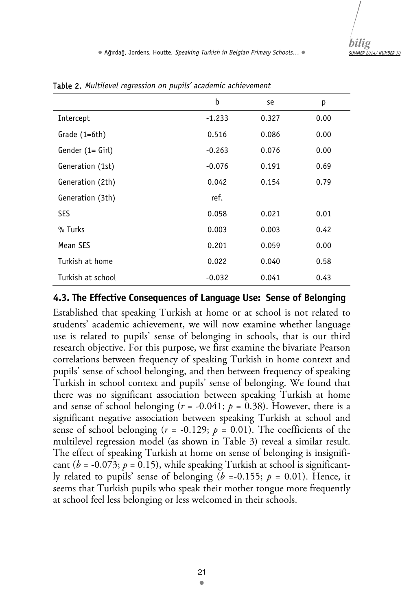|                   | b        | se    | р    |
|-------------------|----------|-------|------|
| Intercept         | $-1.233$ | 0.327 | 0.00 |
| Grade (1=6th)     | 0.516    | 0.086 | 0.00 |
| Gender (1= Girl)  | $-0.263$ | 0.076 | 0.00 |
| Generation (1st)  | $-0.076$ | 0.191 | 0.69 |
| Generation (2th)  | 0.042    | 0.154 | 0.79 |
| Generation (3th)  | ref.     |       |      |
| <b>SES</b>        | 0.058    | 0.021 | 0.01 |
| % Turks           | 0.003    | 0.003 | 0.42 |
| Mean SES          | 0.201    | 0.059 | 0.00 |
| Turkish at home   | 0.022    | 0.040 | 0.58 |
| Turkish at school | $-0.032$ | 0.041 | 0.43 |

Table 2. *Multilevel regression on pupils' academic achievement*

#### **4.3. The Effective Consequences of Language Use: Sense of Belonging**

Established that speaking Turkish at home or at school is not related to students' academic achievement, we will now examine whether language use is related to pupils' sense of belonging in schools, that is our third research objective. For this purpose, we first examine the bivariate Pearson correlations between frequency of speaking Turkish in home context and pupils' sense of school belonging, and then between frequency of speaking Turkish in school context and pupils' sense of belonging. We found that there was no significant association between speaking Turkish at home and sense of school belonging ( $r = -0.041$ ;  $p = 0.38$ ). However, there is a significant negative association between speaking Turkish at school and sense of school belonging ( $r = -0.129$ ;  $p = 0.01$ ). The coefficients of the multilevel regression model (as shown in Table 3) reveal a similar result. The effect of speaking Turkish at home on sense of belonging is insignificant ( $b = -0.073$ ;  $p = 0.15$ ), while speaking Turkish at school is significantly related to pupils' sense of belonging ( $b = -0.155$ ;  $p = 0.01$ ). Hence, it seems that Turkish pupils who speak their mother tongue more frequently at school feel less belonging or less welcomed in their schools.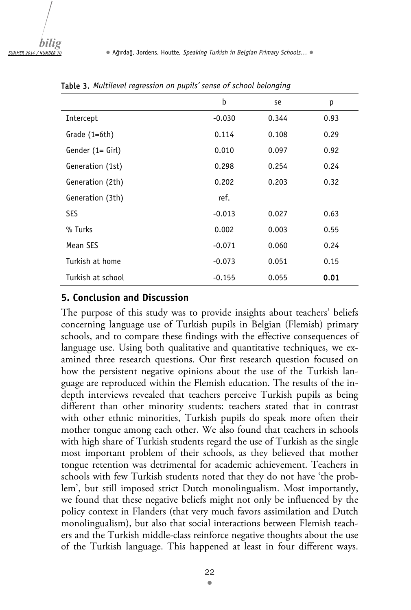*bilig SUMMER 2014 / NUMBER 70*

|                   | b        | se    | р    |
|-------------------|----------|-------|------|
| Intercept         | $-0.030$ | 0.344 | 0.93 |
| Grade $(1=6th)$   | 0.114    | 0.108 | 0.29 |
| Gender (1= Girl)  | 0.010    | 0.097 | 0.92 |
| Generation (1st)  | 0.298    | 0.254 | 0.24 |
| Generation (2th)  | 0.202    | 0.203 | 0.32 |
| Generation (3th)  | ref.     |       |      |
| SES               | $-0.013$ | 0.027 | 0.63 |
| % Turks           | 0.002    | 0.003 | 0.55 |
| Mean SES          | $-0.071$ | 0.060 | 0.24 |
| Turkish at home   | $-0.073$ | 0.051 | 0.15 |
| Turkish at school | $-0.155$ | 0.055 | 0.01 |

Table 3. *Multilevel regression on pupils' sense of school belonging* 

#### **5. Conclusion and Discussion**

The purpose of this study was to provide insights about teachers' beliefs concerning language use of Turkish pupils in Belgian (Flemish) primary schools, and to compare these findings with the effective consequences of language use. Using both qualitative and quantitative techniques, we examined three research questions. Our first research question focused on how the persistent negative opinions about the use of the Turkish language are reproduced within the Flemish education. The results of the indepth interviews revealed that teachers perceive Turkish pupils as being different than other minority students: teachers stated that in contrast with other ethnic minorities, Turkish pupils do speak more often their mother tongue among each other. We also found that teachers in schools with high share of Turkish students regard the use of Turkish as the single most important problem of their schools, as they believed that mother tongue retention was detrimental for academic achievement. Teachers in schools with few Turkish students noted that they do not have 'the problem', but still imposed strict Dutch monolingualism. Most importantly, we found that these negative beliefs might not only be influenced by the policy context in Flanders (that very much favors assimilation and Dutch monolingualism), but also that social interactions between Flemish teachers and the Turkish middle-class reinforce negative thoughts about the use of the Turkish language. This happened at least in four different ways.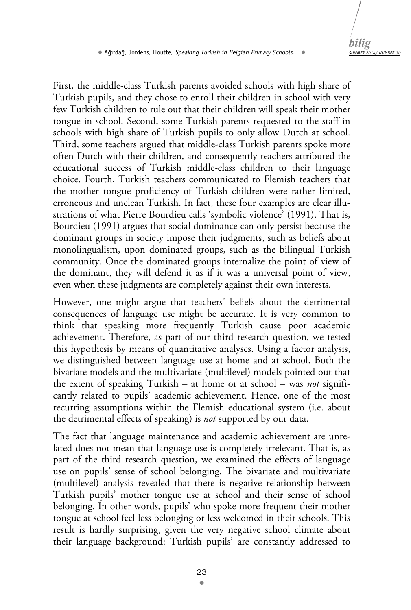First, the middle-class Turkish parents avoided schools with high share of Turkish pupils, and they chose to enroll their children in school with very few Turkish children to rule out that their children will speak their mother tongue in school. Second, some Turkish parents requested to the staff in schools with high share of Turkish pupils to only allow Dutch at school. Third, some teachers argued that middle-class Turkish parents spoke more often Dutch with their children, and consequently teachers attributed the educational success of Turkish middle-class children to their language choice. Fourth, Turkish teachers communicated to Flemish teachers that the mother tongue proficiency of Turkish children were rather limited, erroneous and unclean Turkish. In fact, these four examples are clear illustrations of what Pierre Bourdieu calls 'symbolic violence' (1991). That is, Bourdieu (1991) argues that social dominance can only persist because the dominant groups in society impose their judgments, such as beliefs about monolingualism, upon dominated groups, such as the bilingual Turkish community. Once the dominated groups internalize the point of view of the dominant, they will defend it as if it was a universal point of view, even when these judgments are completely against their own interests.

However, one might argue that teachers' beliefs about the detrimental consequences of language use might be accurate. It is very common to think that speaking more frequently Turkish cause poor academic achievement. Therefore, as part of our third research question, we tested this hypothesis by means of quantitative analyses. Using a factor analysis, we distinguished between language use at home and at school. Both the bivariate models and the multivariate (multilevel) models pointed out that the extent of speaking Turkish – at home or at school – was *not* significantly related to pupils' academic achievement. Hence, one of the most recurring assumptions within the Flemish educational system (i.e. about the detrimental effects of speaking) is *not* supported by our data.

The fact that language maintenance and academic achievement are unrelated does not mean that language use is completely irrelevant. That is, as part of the third research question, we examined the effects of language use on pupils' sense of school belonging. The bivariate and multivariate (multilevel) analysis revealed that there is negative relationship between Turkish pupils' mother tongue use at school and their sense of school belonging. In other words, pupils' who spoke more frequent their mother tongue at school feel less belonging or less welcomed in their schools. This result is hardly surprising, given the very negative school climate about their language background: Turkish pupils' are constantly addressed to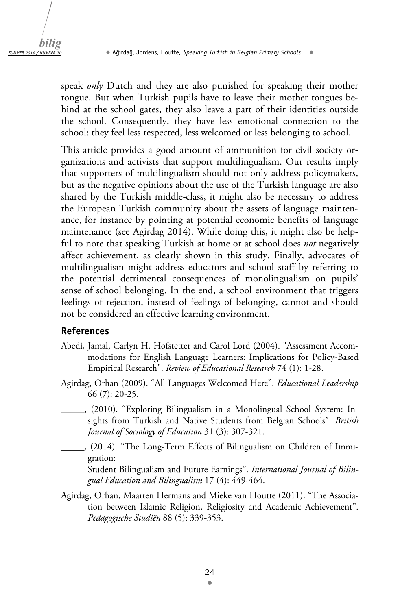speak *only* Dutch and they are also punished for speaking their mother tongue. But when Turkish pupils have to leave their mother tongues behind at the school gates, they also leave a part of their identities outside the school. Consequently, they have less emotional connection to the school: they feel less respected, less welcomed or less belonging to school.

This article provides a good amount of ammunition for civil society organizations and activists that support multilingualism. Our results imply that supporters of multilingualism should not only address policymakers, but as the negative opinions about the use of the Turkish language are also shared by the Turkish middle-class, it might also be necessary to address the European Turkish community about the assets of language maintenance, for instance by pointing at potential economic benefits of language maintenance (see Agirdag 2014). While doing this, it might also be helpful to note that speaking Turkish at home or at school does *not* negatively affect achievement, as clearly shown in this study. Finally, advocates of multilingualism might address educators and school staff by referring to the potential detrimental consequences of monolingualism on pupils' sense of school belonging. In the end, a school environment that triggers feelings of rejection, instead of feelings of belonging, cannot and should not be considered an effective learning environment.

#### **References**

- Abedi, Jamal, Carlyn H. Hofstetter and Carol Lord (2004). "Assessment Accommodations for English Language Learners: Implications for Policy-Based Empirical Research". *Review of Educational Research* 74 (1): 1-28.
- Agirdag, Orhan (2009). "All Languages Welcomed Here". *Educational Leadership*  66 (7): 20-25.
	- \_\_\_\_\_, (2010). "Exploring Bilingualism in a Monolingual School System: Insights from Turkish and Native Students from Belgian Schools". *British Journal of Sociology of Education* 31 (3): 307-321.
	- \_\_\_\_\_, (2014). "The Long-Term Effects of Bilingualism on Children of Immigration:

Student Bilingualism and Future Earnings". *International Journal of Bilingual Education and Bilingualism* 17 (4): 449-464.

Agirdag, Orhan, Maarten Hermans and Mieke van Houtte (2011). "The Association between Islamic Religion, Religiosity and Academic Achievement". *Pedagogische Studiën* 88 (5): 339-353.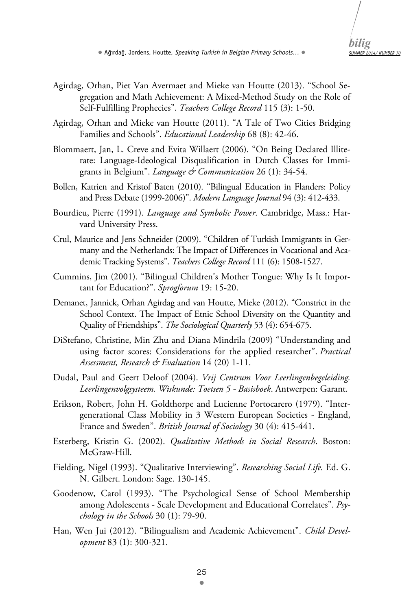- *SUMMER 2014/ NUMBER 70 bilig*
- Agirdag, Orhan, Piet Van Avermaet and Mieke van Houtte (2013). "School Segregation and Math Achievement: A Mixed-Method Study on the Role of Self-Fulfilling Prophecies". *Teachers College Record* 115 (3): 1-50.
- Agirdag, Orhan and Mieke van Houtte (2011). "A Tale of Two Cities Bridging Families and Schools". *Educational Leadership* 68 (8): 42-46.
- Blommaert, Jan, L. Creve and Evita Willaert (2006). "On Being Declared Illiterate: Language-Ideological Disqualification in Dutch Classes for Immigrants in Belgium". *Language & Communication* 26 (1): 34-54.
- Bollen, Katrien and Kristof Baten (2010). "Bilingual Education in Flanders: Policy and Press Debate (1999-2006)". *Modern Language Journal* 94 (3): 412-433.
- Bourdieu, Pierre (1991). *Language and Symbolic Power*. Cambridge, Mass.: Harvard University Press.
- Crul, Maurice and Jens Schneider (2009). "Children of Turkish Immigrants in Germany and the Netherlands: The Impact of Differences in Vocational and Academic Tracking Systems". *Teachers College Record* 111 (6): 1508-1527.
- Cummins, Jim (2001). "Bilingual Children's Mother Tongue: Why Is It Important for Education?". *Sprogforum* 19: 15-20.
- Demanet, Jannick, Orhan Agirdag and van Houtte, Mieke (2012). "Constrict in the School Context. The Impact of Etnic School Diversity on the Quantity and Quality of Friendships". *The Sociological Quarterly* 53 (4): 654-675.
- DiStefano, Christine, Min Zhu and Diana Mindrila (2009) "Understanding and using factor scores: Considerations for the applied researcher". *Practical Assessment, Research & Evaluation* 14 (20) 1-11.
- Dudal, Paul and Geert Deloof (2004). *Vrij Centrum Voor Leerlingenbegeleiding. Leerlingenvolgsysteem. Wiskunde: Toetsen 5 - Basisboek*. Antwerpen: Garant.
- Erikson, Robert, John H. Goldthorpe and Lucienne Portocarero (1979). "Intergenerational Class Mobility in 3 Western European Societies - England, France and Sweden". *British Journal of Sociology* 30 (4): 415-441.
- Esterberg, Kristin G. (2002). *Qualitative Methods in Social Research*. Boston: McGraw-Hill.
- Fielding, Nigel (1993). "Qualitative Interviewing". *Researching Social Life.* Ed. G. N. Gilbert. London: Sage. 130-145.
- Goodenow, Carol (1993). "The Psychological Sense of School Membership among Adolescents - Scale Development and Educational Correlates". *Psychology in the Schools* 30 (1): 79-90.
- Han, Wen Jui (2012). "Bilingualism and Academic Achievement". *Child Development* 83 (1): 300-321.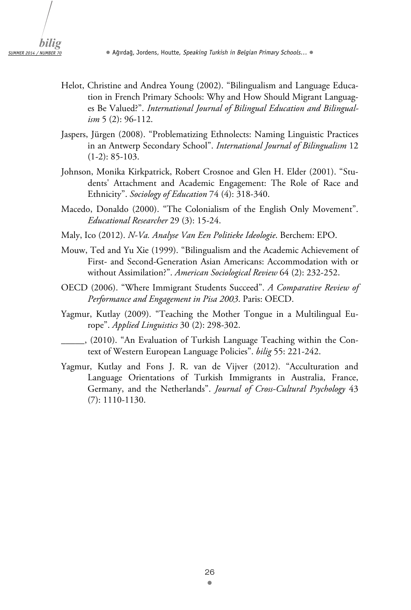- Helot, Christine and Andrea Young (2002). "Bilingualism and Language Education in French Primary Schools: Why and How Should Migrant Languages Be Valued?". *International Journal of Bilingual Education and Bilingualism* 5 (2): 96-112.
- Jaspers, Jürgen (2008). "Problematizing Ethnolects: Naming Linguistic Practices in an Antwerp Secondary School". *International Journal of Bilingualism* 12 (1-2): 85-103.
- Johnson, Monika Kirkpatrick, Robert Crosnoe and Glen H. Elder (2001). "Students' Attachment and Academic Engagement: The Role of Race and Ethnicity". *Sociology of Education* 74 (4): 318-340.
- Macedo, Donaldo (2000). "The Colonialism of the English Only Movement". *Educational Researcher* 29 (3): 15-24.
- Maly, Ico (2012). *N-Va. Analyse Van Een Politieke Ideologie*. Berchem: EPO.
- Mouw, Ted and Yu Xie (1999). "Bilingualism and the Academic Achievement of First- and Second-Generation Asian Americans: Accommodation with or without Assimilation?". *American Sociological Review* 64 (2): 232-252.
- OECD (2006). "Where Immigrant Students Succeed". *A Comparative Review of Performance and Engagement in Pisa 2003*. Paris: OECD.
- Yagmur, Kutlay (2009). "Teaching the Mother Tongue in a Multilingual Europe". *Applied Linguistics* 30 (2): 298-302.
- \_\_\_\_\_, (2010). "An Evaluation of Turkish Language Teaching within the Context of Western European Language Policies". *bilig* 55: 221-242.
- Yagmur, Kutlay and Fons J. R. van de Vijver (2012). "Acculturation and Language Orientations of Turkish Immigrants in Australia, France, Germany, and the Netherlands". *Journal of Cross-Cultural Psychology* 43 (7): 1110-1130.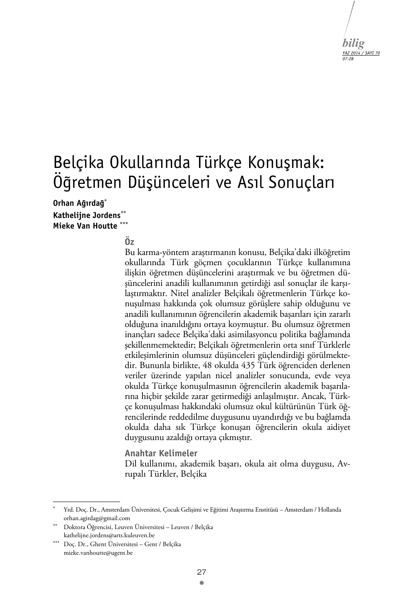

# Belçika Okullarında Türkçe Konuşmak: Öğretmen Düşünceleri ve Asıl Sonuçları

**Orhan Ağırdağ Kathelijne Jordens Mieke Van Houtte** 

#### $\ddot{\Omega}$

Bu karma-yöntem araştırmanın konusu, Belçika'daki ilköğretim okullarında Türk göçmen çocuklarının Türkçe kullanımına ilişkin öğretmen düşüncelerini araştırmak ve bu öğretmen düşüncelerini anadili kullanımının getirdiği asıl sonuçlar ile karşılaştırmaktır. Nitel analizler Belçikalı öğretmenlerin Türkçe konuşulması hakkında çok olumsuz görüşlere sahip olduğunu ve anadili kullanımının öğrencilerin akademik başarıları için zararlı olduğuna inanıldığını ortaya koymuştur. Bu olumsuz öğretmen inançları sadece Belçika'daki asimilasyoncu politika bağlamında şekillenmemektedir; Belçikalı öğretmenlerin orta sınıf Türklerle etkileşimlerinin olumsuz düşünceleri güçlendirdiği görülmektedir. Bununla birlikte, 48 okulda 435 Türk öğrenciden derlenen veriler üzerinde yapılan nicel analizler sonucunda, evde veya okulda Türkçe konuşulmasının öğrencilerin akademik başarılarına hiçbir şekilde zarar getirmediği anlaşılmıştır. Ancak, Türkçe konuşulması hakkındaki olumsuz okul kültürünün Türk öğrencilerinde reddedilme duygusunu uyandırdığı ve bu bağlamda okulda daha sık Türkçe konuşan öğrencilerin okula aidiyet duygusunu azaldığı ortaya çıkmıştır.

**Anahtar Kelimeler** 

Dil kullanımı, akademik başarı, okula ait olma duygusu, Avrupalı Türkler, Belçika

 $\mathcal{L}_\text{max}$ 

<sup>.</sup>  Yrd. Doç. Dr., Amsterdam Üniversitesi, Çocuk Gelişimi ve Eğitimi Araştırma Enstitüsü – Amsterdam / Hollanda orhan.agirdag@gmail.com

Doktora Öğrencisi, Leuven Üniversitesi – Leuven / Belçika kathelijne.jordens@arts.kuleuven.be

Doç. Dr., Ghent Üniversitesi – Gent / Belçika mieke.vanhoutte@ugent.be